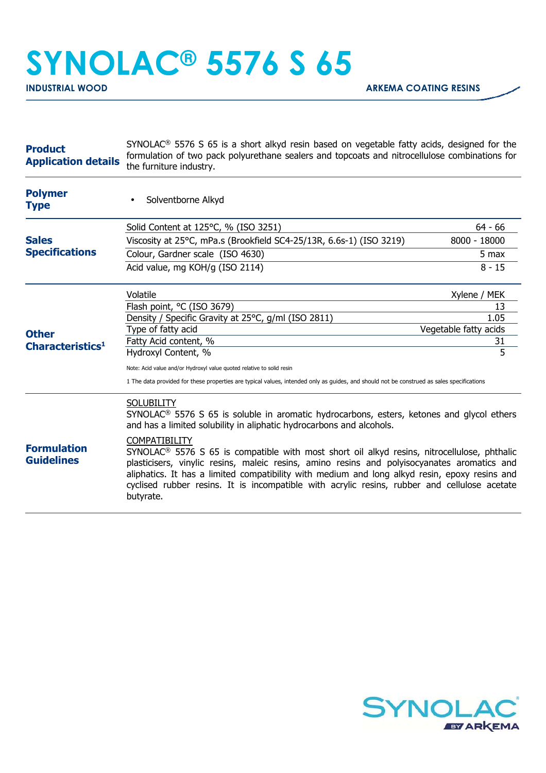## **SYNOLAC® 5576 S 65**

| <b>Product</b><br><b>Application details</b> | $SYNOLAC®$ 5576 S 65 is a short alkyd resin based on vegetable fatty acids, designed for the<br>formulation of two pack polyurethane sealers and topcoats and nitrocellulose combinations for<br>the furniture industry.                                                                                                                                                                                                                                                                                                                                                                                                                           |                       |
|----------------------------------------------|----------------------------------------------------------------------------------------------------------------------------------------------------------------------------------------------------------------------------------------------------------------------------------------------------------------------------------------------------------------------------------------------------------------------------------------------------------------------------------------------------------------------------------------------------------------------------------------------------------------------------------------------------|-----------------------|
| <b>Polymer</b><br><b>Type</b>                | Solventborne Alkyd                                                                                                                                                                                                                                                                                                                                                                                                                                                                                                                                                                                                                                 |                       |
|                                              | Solid Content at 125°C, % (ISO 3251)                                                                                                                                                                                                                                                                                                                                                                                                                                                                                                                                                                                                               | $64 - 66$             |
| <b>Sales</b><br><b>Specifications</b>        | Viscosity at 25°C, mPa.s (Brookfield SC4-25/13R, 6.6s-1) (ISO 3219)                                                                                                                                                                                                                                                                                                                                                                                                                                                                                                                                                                                | 8000 - 18000          |
|                                              | Colour, Gardner scale (ISO 4630)                                                                                                                                                                                                                                                                                                                                                                                                                                                                                                                                                                                                                   | 5 max                 |
|                                              | Acid value, mg KOH/g (ISO 2114)                                                                                                                                                                                                                                                                                                                                                                                                                                                                                                                                                                                                                    | $8 - 15$              |
| <b>Other</b><br>Characteristics <sup>1</sup> | Volatile                                                                                                                                                                                                                                                                                                                                                                                                                                                                                                                                                                                                                                           | Xylene / MEK          |
|                                              | Flash point, °C (ISO 3679)                                                                                                                                                                                                                                                                                                                                                                                                                                                                                                                                                                                                                         | 13                    |
|                                              | Density / Specific Gravity at 25°C, g/ml (ISO 2811)                                                                                                                                                                                                                                                                                                                                                                                                                                                                                                                                                                                                | 1.05                  |
|                                              | Type of fatty acid                                                                                                                                                                                                                                                                                                                                                                                                                                                                                                                                                                                                                                 | Vegetable fatty acids |
|                                              | Fatty Acid content, %<br>Hydroxyl Content, %                                                                                                                                                                                                                                                                                                                                                                                                                                                                                                                                                                                                       | 31<br>5               |
|                                              |                                                                                                                                                                                                                                                                                                                                                                                                                                                                                                                                                                                                                                                    |                       |
|                                              | Note: Acid value and/or Hydroxyl value quoted relative to solid resin                                                                                                                                                                                                                                                                                                                                                                                                                                                                                                                                                                              |                       |
|                                              | 1 The data provided for these properties are typical values, intended only as guides, and should not be construed as sales specifications                                                                                                                                                                                                                                                                                                                                                                                                                                                                                                          |                       |
| <b>Formulation</b><br><b>Guidelines</b>      | <b>SOLUBILITY</b><br>SYNOLAC <sup>®</sup> 5576 S 65 is soluble in aromatic hydrocarbons, esters, ketones and glycol ethers<br>and has a limited solubility in aliphatic hydrocarbons and alcohols.<br><b>COMPATIBILITY</b><br>SYNOLAC <sup>®</sup> 5576 S 65 is compatible with most short oil alkyd resins, nitrocellulose, phthalic<br>plasticisers, vinylic resins, maleic resins, amino resins and polyisocyanates aromatics and<br>aliphatics. It has a limited compatibility with medium and long alkyd resin, epoxy resins and<br>cyclised rubber resins. It is incompatible with acrylic resins, rubber and cellulose acetate<br>butyrate. |                       |